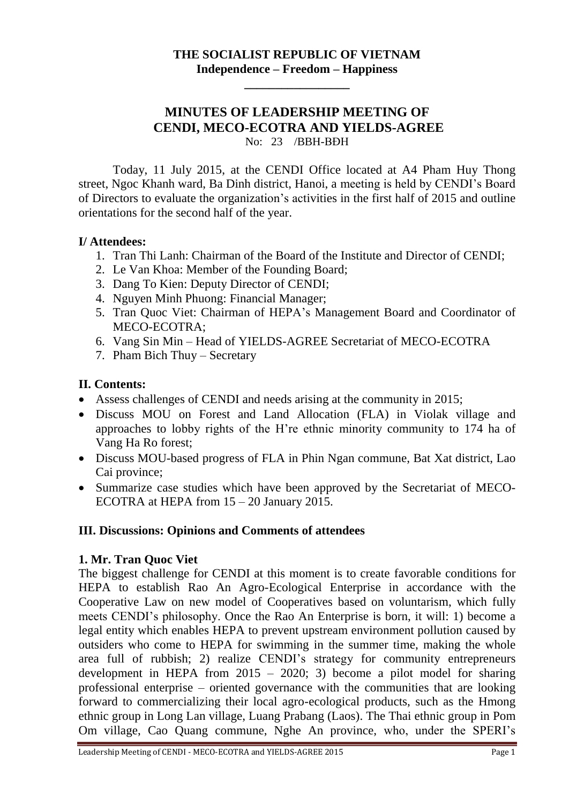## **THE SOCIALIST REPUBLIC OF VIETNAM Independence – Freedom – Happiness**

**\_\_\_\_\_\_\_\_\_\_\_\_\_\_\_\_\_**

### **MINUTES OF LEADERSHIP MEETING OF CENDI, MECO-ECOTRA AND YIELDS-AGREE** No: 23 /BBH-BĐH

Today, 11 July 2015, at the CENDI Office located at A4 Pham Huy Thong street, Ngoc Khanh ward, Ba Dinh district, Hanoi, a meeting is held by CENDI's Board of Directors to evaluate the organization's activities in the first half of 2015 and outline orientations for the second half of the year.

#### **I/ Attendees:**

- 1. Tran Thi Lanh: Chairman of the Board of the Institute and Director of CENDI;
- 2. Le Van Khoa: Member of the Founding Board;
- 3. Dang To Kien: Deputy Director of CENDI;
- 4. Nguyen Minh Phuong: Financial Manager;
- 5. Tran Quoc Viet: Chairman of HEPA's Management Board and Coordinator of MECO-ECOTRA;
- 6. Vang Sin Min Head of YIELDS-AGREE Secretariat of MECO-ECOTRA
- 7. Pham Bich Thuy Secretary

## **II. Contents:**

- Assess challenges of CENDI and needs arising at the community in 2015;
- Discuss MOU on Forest and Land Allocation (FLA) in Violak village and approaches to lobby rights of the H're ethnic minority community to 174 ha of Vang Ha Ro forest;
- Discuss MOU-based progress of FLA in Phin Ngan commune, Bat Xat district, Lao Cai province;
- Summarize case studies which have been approved by the Secretariat of MECO-ECOTRA at HEPA from 15 – 20 January 2015.

#### **III. Discussions: Opinions and Comments of attendees**

#### **1. Mr. Tran Quoc Viet**

The biggest challenge for CENDI at this moment is to create favorable conditions for HEPA to establish Rao An Agro-Ecological Enterprise in accordance with the Cooperative Law on new model of Cooperatives based on voluntarism, which fully meets CENDI's philosophy. Once the Rao An Enterprise is born, it will: 1) become a legal entity which enables HEPA to prevent upstream environment pollution caused by outsiders who come to HEPA for swimming in the summer time, making the whole area full of rubbish; 2) realize CENDI's strategy for community entrepreneurs development in HEPA from  $2015 - 2020$ ; 3) become a pilot model for sharing professional enterprise – oriented governance with the communities that are looking forward to commercializing their local agro-ecological products, such as the Hmong ethnic group in Long Lan village, Luang Prabang (Laos). The Thai ethnic group in Pom Om village, Cao Quang commune, Nghe An province, who, under the SPERI's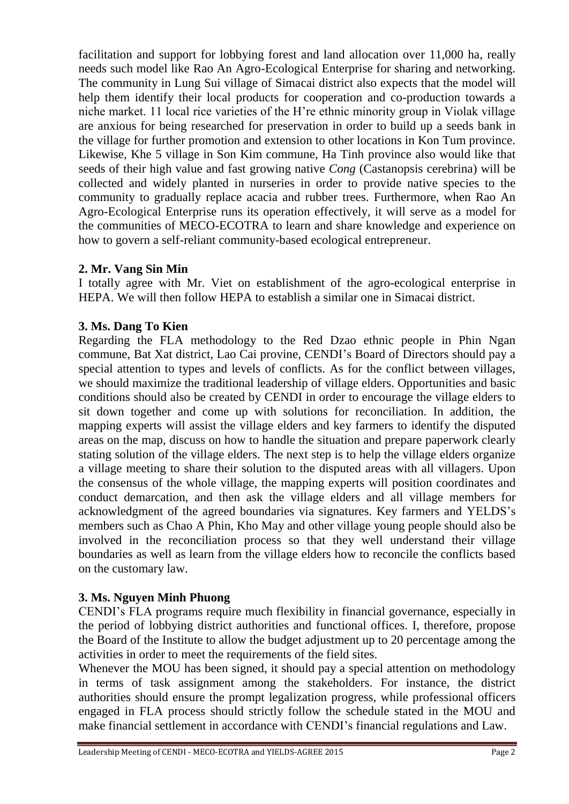facilitation and support for lobbying forest and land allocation over 11,000 ha, really needs such model like Rao An Agro-Ecological Enterprise for sharing and networking. The community in Lung Sui village of Simacai district also expects that the model will help them identify their local products for cooperation and co-production towards a niche market. 11 local rice varieties of the H're ethnic minority group in Violak village are anxious for being researched for preservation in order to build up a seeds bank in the village for further promotion and extension to other locations in Kon Tum province. Likewise, Khe 5 village in Son Kim commune, Ha Tinh province also would like that seeds of their high value and fast growing native *Cong* (Castanopsis cerebrina) will be collected and widely planted in nurseries in order to provide native species to the community to gradually replace acacia and rubber trees. Furthermore, when Rao An Agro-Ecological Enterprise runs its operation effectively, it will serve as a model for the communities of MECO-ECOTRA to learn and share knowledge and experience on how to govern a self-reliant community-based ecological entrepreneur.

## **2. Mr. Vang Sin Min**

I totally agree with Mr. Viet on establishment of the agro-ecological enterprise in HEPA. We will then follow HEPA to establish a similar one in Simacai district.

## **3. Ms. Dang To Kien**

Regarding the FLA methodology to the Red Dzao ethnic people in Phin Ngan commune, Bat Xat district, Lao Cai provine, CENDI's Board of Directors should pay a special attention to types and levels of conflicts. As for the conflict between villages, we should maximize the traditional leadership of village elders. Opportunities and basic conditions should also be created by CENDI in order to encourage the village elders to sit down together and come up with solutions for reconciliation. In addition, the mapping experts will assist the village elders and key farmers to identify the disputed areas on the map, discuss on how to handle the situation and prepare paperwork clearly stating solution of the village elders. The next step is to help the village elders organize a village meeting to share their solution to the disputed areas with all villagers. Upon the consensus of the whole village, the mapping experts will position coordinates and conduct demarcation, and then ask the village elders and all village members for acknowledgment of the agreed boundaries via signatures. Key farmers and YELDS's members such as Chao A Phin, Kho May and other village young people should also be involved in the reconciliation process so that they well understand their village boundaries as well as learn from the village elders how to reconcile the conflicts based on the customary law.

# **3. Ms. Nguyen Minh Phuong**

CENDI's FLA programs require much flexibility in financial governance, especially in the period of lobbying district authorities and functional offices. I, therefore, propose the Board of the Institute to allow the budget adjustment up to 20 percentage among the activities in order to meet the requirements of the field sites.

Whenever the MOU has been signed, it should pay a special attention on methodology in terms of task assignment among the stakeholders. For instance, the district authorities should ensure the prompt legalization progress, while professional officers engaged in FLA process should strictly follow the schedule stated in the MOU and make financial settlement in accordance with CENDI's financial regulations and Law.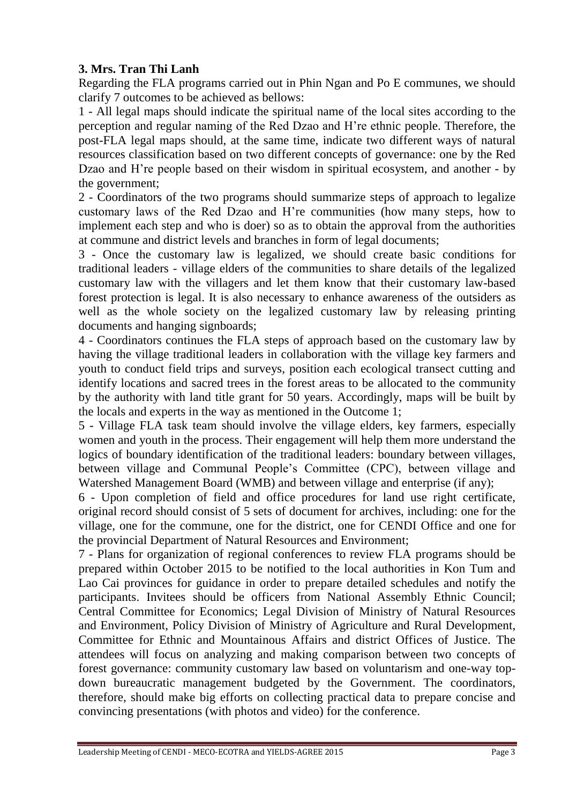# **3. Mrs. Tran Thi Lanh**

Regarding the FLA programs carried out in Phin Ngan and Po E communes, we should clarify 7 outcomes to be achieved as bellows:

1 - All legal maps should indicate the spiritual name of the local sites according to the perception and regular naming of the Red Dzao and H're ethnic people. Therefore, the post-FLA legal maps should, at the same time, indicate two different ways of natural resources classification based on two different concepts of governance: one by the Red Dzao and H're people based on their wisdom in spiritual ecosystem, and another - by the government;

2 - Coordinators of the two programs should summarize steps of approach to legalize customary laws of the Red Dzao and H're communities (how many steps, how to implement each step and who is doer) so as to obtain the approval from the authorities at commune and district levels and branches in form of legal documents;

3 - Once the customary law is legalized, we should create basic conditions for traditional leaders - village elders of the communities to share details of the legalized customary law with the villagers and let them know that their customary law-based forest protection is legal. It is also necessary to enhance awareness of the outsiders as well as the whole society on the legalized customary law by releasing printing documents and hanging signboards;

4 - Coordinators continues the FLA steps of approach based on the customary law by having the village traditional leaders in collaboration with the village key farmers and youth to conduct field trips and surveys, position each ecological transect cutting and identify locations and sacred trees in the forest areas to be allocated to the community by the authority with land title grant for 50 years. Accordingly, maps will be built by the locals and experts in the way as mentioned in the Outcome 1;

5 - Village FLA task team should involve the village elders, key farmers, especially women and youth in the process. Their engagement will help them more understand the logics of boundary identification of the traditional leaders: boundary between villages, between village and Communal People's Committee (CPC), between village and Watershed Management Board (WMB) and between village and enterprise (if any);

6 - Upon completion of field and office procedures for land use right certificate, original record should consist of 5 sets of document for archives, including: one for the village, one for the commune, one for the district, one for CENDI Office and one for the provincial Department of Natural Resources and Environment;

7 - Plans for organization of regional conferences to review FLA programs should be prepared within October 2015 to be notified to the local authorities in Kon Tum and Lao Cai provinces for guidance in order to prepare detailed schedules and notify the participants. Invitees should be officers from National Assembly Ethnic Council; Central Committee for Economics; Legal Division of Ministry of Natural Resources and Environment, Policy Division of Ministry of Agriculture and Rural Development, Committee for Ethnic and Mountainous Affairs and district Offices of Justice. The attendees will focus on analyzing and making comparison between two concepts of forest governance: community customary law based on voluntarism and one-way topdown bureaucratic management budgeted by the Government. The coordinators, therefore, should make big efforts on collecting practical data to prepare concise and convincing presentations (with photos and video) for the conference.